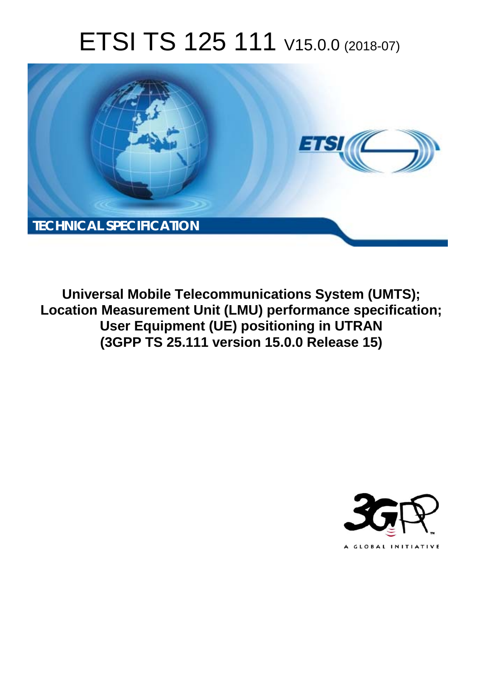# ETSI TS 125 111 V15.0.0 (2018-07)



**Universal Mobile Telecommunications System (UMTS); Location Measurement Unit (LMU) performance specification; User Equipment (UE) positioning in UTRAN (3GPP TS 25.111 version 15.0.0 Release 15)** 

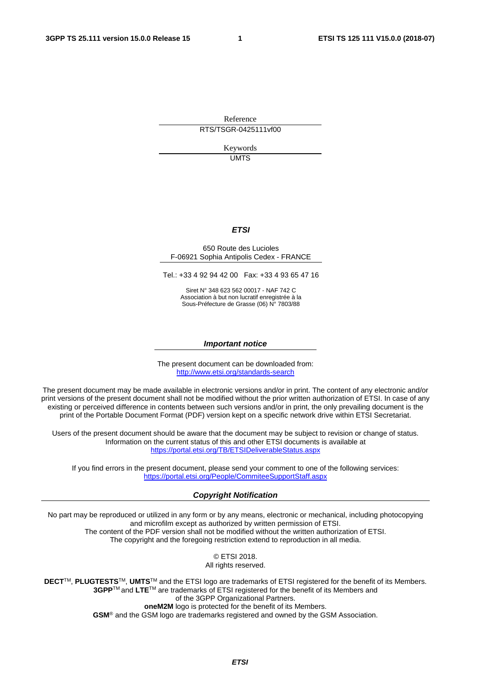Reference RTS/TSGR-0425111vf00

> Keywords UMTS

#### *ETSI*

#### 650 Route des Lucioles F-06921 Sophia Antipolis Cedex - FRANCE

Tel.: +33 4 92 94 42 00 Fax: +33 4 93 65 47 16

Siret N° 348 623 562 00017 - NAF 742 C Association à but non lucratif enregistrée à la Sous-Préfecture de Grasse (06) N° 7803/88

#### *Important notice*

The present document can be downloaded from: <http://www.etsi.org/standards-search>

The present document may be made available in electronic versions and/or in print. The content of any electronic and/or print versions of the present document shall not be modified without the prior written authorization of ETSI. In case of any existing or perceived difference in contents between such versions and/or in print, the only prevailing document is the print of the Portable Document Format (PDF) version kept on a specific network drive within ETSI Secretariat.

Users of the present document should be aware that the document may be subject to revision or change of status. Information on the current status of this and other ETSI documents is available at <https://portal.etsi.org/TB/ETSIDeliverableStatus.aspx>

If you find errors in the present document, please send your comment to one of the following services: <https://portal.etsi.org/People/CommiteeSupportStaff.aspx>

#### *Copyright Notification*

No part may be reproduced or utilized in any form or by any means, electronic or mechanical, including photocopying and microfilm except as authorized by written permission of ETSI. The content of the PDF version shall not be modified without the written authorization of ETSI. The copyright and the foregoing restriction extend to reproduction in all media.

> © ETSI 2018. All rights reserved.

**DECT**TM, **PLUGTESTS**TM, **UMTS**TM and the ETSI logo are trademarks of ETSI registered for the benefit of its Members. **3GPP**TM and **LTE**TM are trademarks of ETSI registered for the benefit of its Members and of the 3GPP Organizational Partners. **oneM2M** logo is protected for the benefit of its Members.

**GSM**® and the GSM logo are trademarks registered and owned by the GSM Association.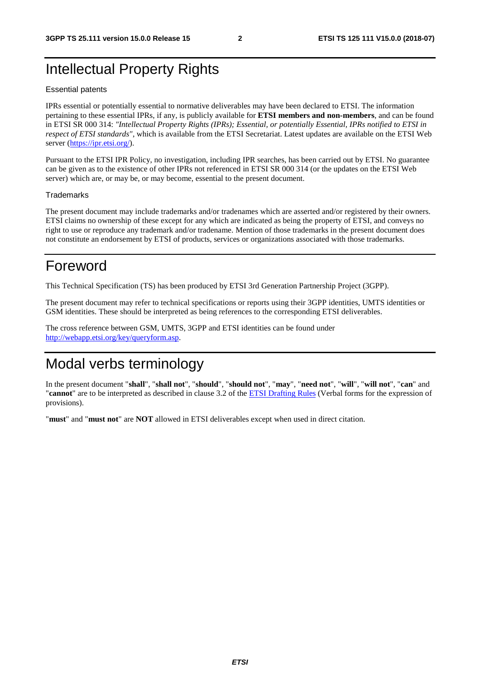# Intellectual Property Rights

#### Essential patents

IPRs essential or potentially essential to normative deliverables may have been declared to ETSI. The information pertaining to these essential IPRs, if any, is publicly available for **ETSI members and non-members**, and can be found in ETSI SR 000 314: *"Intellectual Property Rights (IPRs); Essential, or potentially Essential, IPRs notified to ETSI in respect of ETSI standards"*, which is available from the ETSI Secretariat. Latest updates are available on the ETSI Web server ([https://ipr.etsi.org/\)](https://ipr.etsi.org/).

Pursuant to the ETSI IPR Policy, no investigation, including IPR searches, has been carried out by ETSI. No guarantee can be given as to the existence of other IPRs not referenced in ETSI SR 000 314 (or the updates on the ETSI Web server) which are, or may be, or may become, essential to the present document.

#### **Trademarks**

The present document may include trademarks and/or tradenames which are asserted and/or registered by their owners. ETSI claims no ownership of these except for any which are indicated as being the property of ETSI, and conveys no right to use or reproduce any trademark and/or tradename. Mention of those trademarks in the present document does not constitute an endorsement by ETSI of products, services or organizations associated with those trademarks.

# Foreword

This Technical Specification (TS) has been produced by ETSI 3rd Generation Partnership Project (3GPP).

The present document may refer to technical specifications or reports using their 3GPP identities, UMTS identities or GSM identities. These should be interpreted as being references to the corresponding ETSI deliverables.

The cross reference between GSM, UMTS, 3GPP and ETSI identities can be found under [http://webapp.etsi.org/key/queryform.asp.](http://webapp.etsi.org/key/queryform.asp)

# Modal verbs terminology

In the present document "**shall**", "**shall not**", "**should**", "**should not**", "**may**", "**need not**", "**will**", "**will not**", "**can**" and "**cannot**" are to be interpreted as described in clause 3.2 of the [ETSI Drafting Rules](https://portal.etsi.org/Services/editHelp!/Howtostart/ETSIDraftingRules.aspx) (Verbal forms for the expression of provisions).

"**must**" and "**must not**" are **NOT** allowed in ETSI deliverables except when used in direct citation.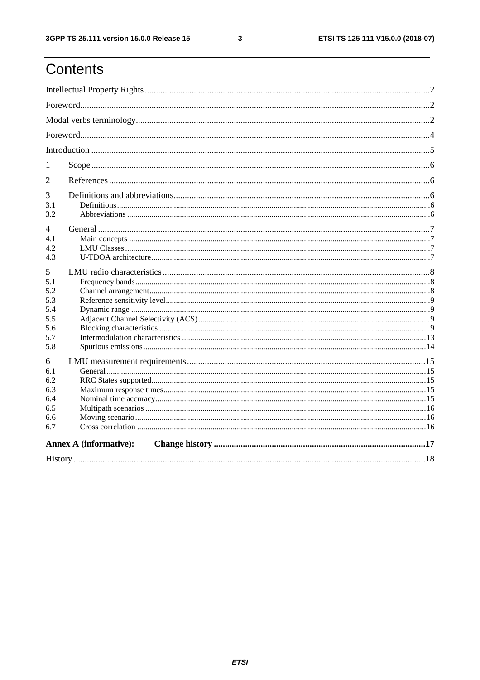$\mathbf{3}$ 

# Contents

| 1                                                         |                               |  |  |  |
|-----------------------------------------------------------|-------------------------------|--|--|--|
| 2                                                         |                               |  |  |  |
| 3<br>3.1<br>3.2                                           |                               |  |  |  |
| 4<br>4.1<br>4.2<br>4.3                                    |                               |  |  |  |
| 5<br>5.1<br>5.2<br>5.3<br>5.4<br>5.5<br>5.6<br>5.7<br>5.8 |                               |  |  |  |
| 6<br>6.1<br>6.2<br>6.3<br>6.4<br>6.5<br>6.6<br>6.7        |                               |  |  |  |
|                                                           | <b>Annex A (informative):</b> |  |  |  |
|                                                           |                               |  |  |  |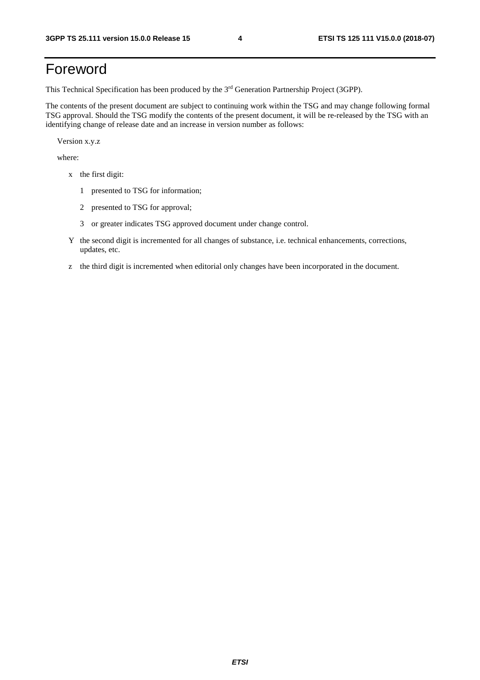# Foreword

This Technical Specification has been produced by the 3rd Generation Partnership Project (3GPP).

The contents of the present document are subject to continuing work within the TSG and may change following formal TSG approval. Should the TSG modify the contents of the present document, it will be re-released by the TSG with an identifying change of release date and an increase in version number as follows:

Version x.y.z

where:

- x the first digit:
	- 1 presented to TSG for information;
	- 2 presented to TSG for approval;
	- 3 or greater indicates TSG approved document under change control.
- Y the second digit is incremented for all changes of substance, i.e. technical enhancements, corrections, updates, etc.
- z the third digit is incremented when editorial only changes have been incorporated in the document.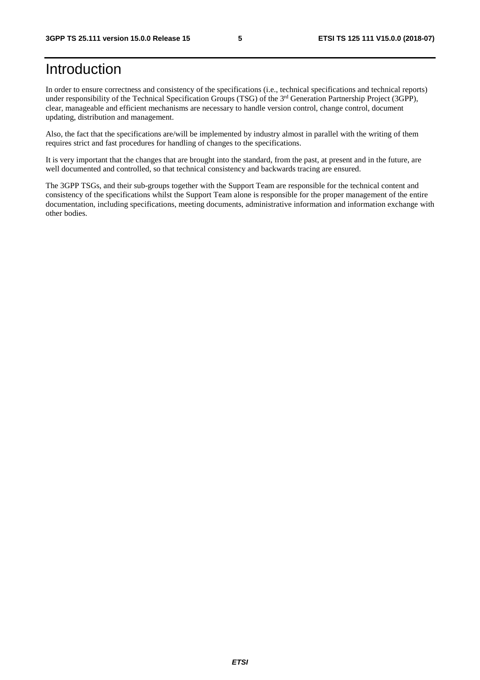# Introduction

In order to ensure correctness and consistency of the specifications (i.e., technical specifications and technical reports) under responsibility of the Technical Specification Groups (TSG) of the 3<sup>rd</sup> Generation Partnership Project (3GPP), clear, manageable and efficient mechanisms are necessary to handle version control, change control, document updating, distribution and management.

Also, the fact that the specifications are/will be implemented by industry almost in parallel with the writing of them requires strict and fast procedures for handling of changes to the specifications.

It is very important that the changes that are brought into the standard, from the past, at present and in the future, are well documented and controlled, so that technical consistency and backwards tracing are ensured.

The 3GPP TSGs, and their sub-groups together with the Support Team are responsible for the technical content and consistency of the specifications whilst the Support Team alone is responsible for the proper management of the entire documentation, including specifications, meeting documents, administrative information and information exchange with other bodies.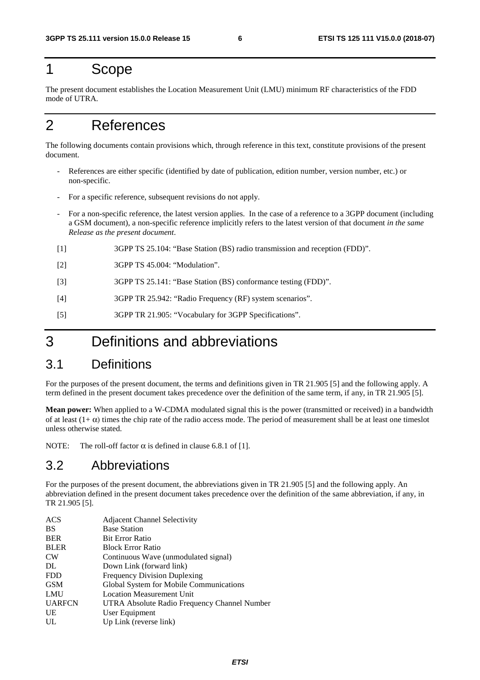# 1 Scope

The present document establishes the Location Measurement Unit (LMU) minimum RF characteristics of the FDD mode of UTRA.

# 2 References

The following documents contain provisions which, through reference in this text, constitute provisions of the present document.

- References are either specific (identified by date of publication, edition number, version number, etc.) or non-specific.
- For a specific reference, subsequent revisions do not apply.
- For a non-specific reference, the latest version applies. In the case of a reference to a 3GPP document (including a GSM document), a non-specific reference implicitly refers to the latest version of that document *in the same Release as the present document*.
- [1] 3GPP TS 25.104: "Base Station (BS) radio transmission and reception (FDD)".
- [2] 3GPP TS 45.004: "Modulation".
- [3] 3GPP TS 25.141: "Base Station (BS) conformance testing (FDD)".
- [4] 3GPP TR 25.942: "Radio Frequency (RF) system scenarios".
- [5] 3GPP TR 21.905: "Vocabulary for 3GPP Specifications".

# 3 Definitions and abbreviations

#### 3.1 Definitions

For the purposes of the present document, the terms and definitions given in TR 21.905 [5] and the following apply. A term defined in the present document takes precedence over the definition of the same term, if any, in TR 21.905 [5].

**Mean power:** When applied to a W-CDMA modulated signal this is the power (transmitted or received) in a bandwidth of at least  $(1+\alpha)$  times the chip rate of the radio access mode. The period of measurement shall be at least one timeslot unless otherwise stated.

NOTE: The roll-off factor  $\alpha$  is defined in clause 6.8.1 of [1].

#### 3.2 Abbreviations

For the purposes of the present document, the abbreviations given in TR 21.905 [5] and the following apply. An abbreviation defined in the present document takes precedence over the definition of the same abbreviation, if any, in TR 21.905 [5].

| <b>ACS</b>    | <b>Adjacent Channel Selectivity</b>          |
|---------------|----------------------------------------------|
| <b>BS</b>     | <b>Base Station</b>                          |
| <b>BER</b>    | <b>Bit Error Ratio</b>                       |
| <b>BLER</b>   | <b>Block Error Ratio</b>                     |
| <b>CW</b>     | Continuous Wave (unmodulated signal)         |
| DL            | Down Link (forward link)                     |
| <b>FDD</b>    | <b>Frequency Division Duplexing</b>          |
| <b>GSM</b>    | Global System for Mobile Communications      |
| LMU           | <b>Location Measurement Unit</b>             |
| <b>UARFCN</b> | UTRA Absolute Radio Frequency Channel Number |
| UE            | User Equipment                               |
| UL            | Up Link (reverse link)                       |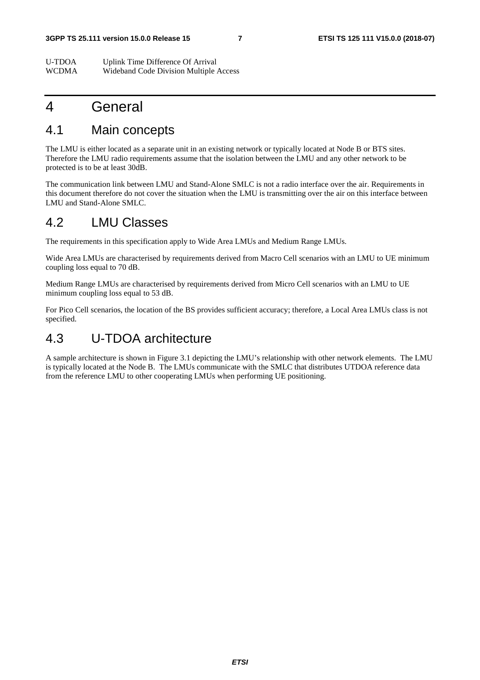U-TDOA Uplink Time Difference Of Arrival WCDMA Wideband Code Division Multiple Access

### 4 General

# 4.1 Main concepts

The LMU is either located as a separate unit in an existing network or typically located at Node B or BTS sites. Therefore the LMU radio requirements assume that the isolation between the LMU and any other network to be protected is to be at least 30dB.

The communication link between LMU and Stand-Alone SMLC is not a radio interface over the air. Requirements in this document therefore do not cover the situation when the LMU is transmitting over the air on this interface between LMU and Stand-Alone SMLC.

### 4.2 LMU Classes

The requirements in this specification apply to Wide Area LMUs and Medium Range LMUs.

Wide Area LMUs are characterised by requirements derived from Macro Cell scenarios with an LMU to UE minimum coupling loss equal to 70 dB.

Medium Range LMUs are characterised by requirements derived from Micro Cell scenarios with an LMU to UE minimum coupling loss equal to 53 dB.

For Pico Cell scenarios, the location of the BS provides sufficient accuracy; therefore, a Local Area LMUs class is not specified.

### 4.3 U-TDOA architecture

A sample architecture is shown in Figure 3.1 depicting the LMU's relationship with other network elements. The LMU is typically located at the Node B. The LMUs communicate with the SMLC that distributes UTDOA reference data from the reference LMU to other cooperating LMUs when performing UE positioning.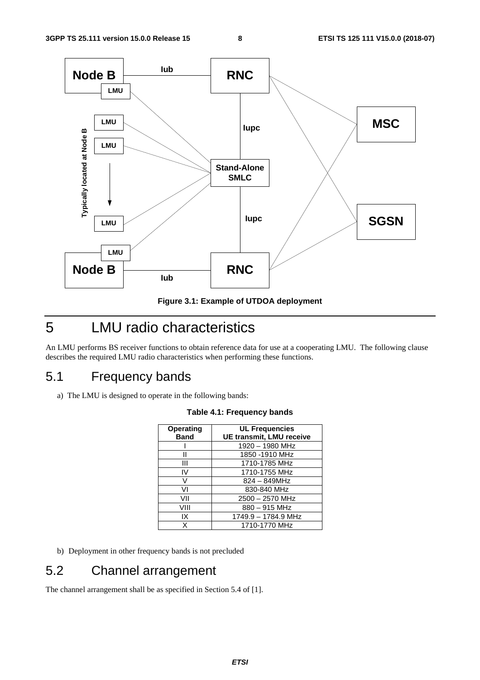



# 5 LMU radio characteristics

An LMU performs BS receiver functions to obtain reference data for use at a cooperating LMU. The following clause describes the required LMU radio characteristics when performing these functions.

### 5.1 Frequency bands

a) The LMU is designed to operate in the following bands:

| Operating   | <b>UL Frequencies</b>           |
|-------------|---------------------------------|
| <b>Band</b> | <b>UE transmit, LMU receive</b> |
|             | 1920 - 1980 MHz                 |
| н           | 1850 -1910 MHz                  |
| Ш           | 1710-1785 MHz                   |
| IV          | 1710-1755 MHz                   |
| v           | 824 – 849MHz                    |
| ۷ı          | 830-840 MHz                     |
| VII         | $2500 - 2570$ MHz               |
| VIII        | $880 - 915$ MHz                 |
| IX          | 1749.9 - 1784.9 MHz             |
| x           | 1710-1770 MHz                   |

**Table 4.1: Frequency bands** 

b) Deployment in other frequency bands is not precluded

# 5.2 Channel arrangement

The channel arrangement shall be as specified in Section 5.4 of [1].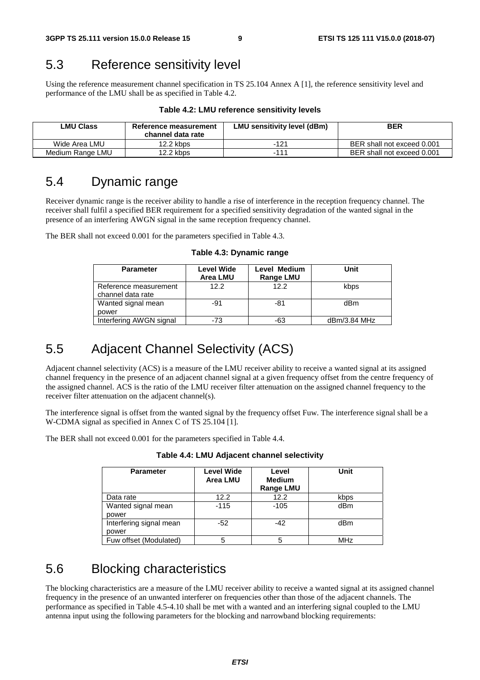### 5.3 Reference sensitivity level

Using the reference measurement channel specification in TS 25.104 Annex A [1], the reference sensitivity level and performance of the LMU shall be as specified in Table 4.2.

| <b>LMU Class</b> | Reference measurement<br>channel data rate | LMU sensitivity level (dBm) | <b>BER</b>                 |
|------------------|--------------------------------------------|-----------------------------|----------------------------|
| Wide Area LMU    | $12.2$ kbps                                | $-121$                      | BER shall not exceed 0.001 |
| Medium Range LMU | 12.2 kbps                                  | -111                        | BER shall not exceed 0.001 |

#### **Table 4.2: LMU reference sensitivity levels**

### 5.4 Dynamic range

Receiver dynamic range is the receiver ability to handle a rise of interference in the reception frequency channel. The receiver shall fulfil a specified BER requirement for a specified sensitivity degradation of the wanted signal in the presence of an interfering AWGN signal in the same reception frequency channel.

The BER shall not exceed 0.001 for the parameters specified in Table 4.3.

| <b>Parameter</b>                           | <b>Level Wide</b><br><b>Area LMU</b> | Level Medium<br><b>Range LMU</b> | Unit         |
|--------------------------------------------|--------------------------------------|----------------------------------|--------------|
| Reference measurement<br>channel data rate | 12.2                                 | 122                              | kbps         |
| Wanted signal mean<br>power                | -91                                  | -81                              | dBm          |
| Interfering AWGN signal                    | $-73$                                | -63                              | dBm/3.84 MHz |

**Table 4.3: Dynamic range** 

### 5.5 Adjacent Channel Selectivity (ACS)

Adjacent channel selectivity (ACS) is a measure of the LMU receiver ability to receive a wanted signal at its assigned channel frequency in the presence of an adjacent channel signal at a given frequency offset from the centre frequency of the assigned channel. ACS is the ratio of the LMU receiver filter attenuation on the assigned channel frequency to the receiver filter attenuation on the adjacent channel(s).

The interference signal is offset from the wanted signal by the frequency offset Fuw. The interference signal shall be a W-CDMA signal as specified in Annex C of TS 25.104 [1].

The BER shall not exceed 0.001 for the parameters specified in Table 4.4.

| <b>Parameter</b>                 | <b>Level Wide</b><br>Area LMU | Level<br><b>Medium</b><br><b>Range LMU</b> | Unit |
|----------------------------------|-------------------------------|--------------------------------------------|------|
| Data rate                        | 12.2                          | 12.2                                       | kbps |
| Wanted signal mean<br>power      | $-115$                        | $-105$                                     | dBm  |
| Interfering signal mean<br>power | $-52$                         | $-42$                                      | dBm  |
| Fuw offset (Modulated)           | 5                             |                                            | MHz  |

**Table 4.4: LMU Adjacent channel selectivity** 

### 5.6 Blocking characteristics

The blocking characteristics are a measure of the LMU receiver ability to receive a wanted signal at its assigned channel frequency in the presence of an unwanted interferer on frequencies other than those of the adjacent channels. The performance as specified in Table 4.5-4.10 shall be met with a wanted and an interfering signal coupled to the LMU antenna input using the following parameters for the blocking and narrowband blocking requirements: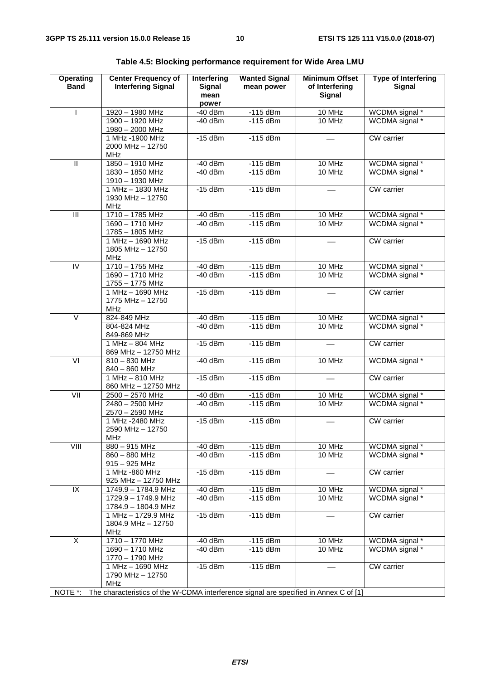| Operating<br><b>Band</b> | <b>Center Frequency of</b><br><b>Interfering Signal</b>                               | Interfering<br><b>Signal</b><br>mean<br>power | <b>Wanted Signal</b><br>mean power | <b>Minimum Offset</b><br>of Interfering<br><b>Signal</b> | <b>Type of Interfering</b><br><b>Signal</b> |
|--------------------------|---------------------------------------------------------------------------------------|-----------------------------------------------|------------------------------------|----------------------------------------------------------|---------------------------------------------|
|                          | 1920 - 1980 MHz                                                                       | $-40$ dBm                                     | $-115$ dBm                         | 10 MHz                                                   | WCDMA signal *                              |
|                          | 1900 - 1920 MHz<br>1980 - 2000 MHz                                                    | $-40$ dBm                                     | $-115$ dBm                         | 10 MHz                                                   | WCDMA signal *                              |
|                          | 1 MHz - 1900 MHz<br>2000 MHz - 12750<br><b>MHz</b>                                    | $-15$ dBm                                     | $-115$ dBm                         |                                                          | <b>CW</b> carrier                           |
| $\overline{\mathbb{I}}$  | 1850 - 1910 MHz                                                                       | $-40$ dBm                                     | $-115$ dBm                         | 10 MHz                                                   | WCDMA signal *                              |
|                          | 1830 - 1850 MHz<br>1910 - 1930 MHz                                                    | $-40$ dBm                                     | $-115$ dBm                         | 10 MHz                                                   | WCDMA signal *                              |
|                          | 1 MHz - 1830 MHz<br>1930 MHz - 12750<br><b>MHz</b>                                    | $-15$ dBm                                     | $-115$ dBm                         |                                                          | <b>CW</b> carrier                           |
| $\overline{\mathbb{H}}$  | 1710 - 1785 MHz                                                                       | $-40$ dBm                                     | $-115$ dBm                         | 10 MHz                                                   | WCDMA signal *                              |
|                          | 1690 - 1710 MHz<br>1785 - 1805 MHz                                                    | $-40$ dBm                                     | $-115$ dBm                         | 10 MHz                                                   | WCDMA signal *                              |
|                          | 1 MHz - 1690 MHz<br>1805 MHz - 12750<br><b>MHz</b>                                    | $-15$ dBm                                     | $-115$ dBm                         |                                                          | CW carrier                                  |
| $\overline{N}$           | 1710 - 1755 MHz                                                                       | $-40$ dBm                                     | $-115$ dBm                         | 10 MHz                                                   | WCDMA signal *                              |
|                          | 1690 - 1710 MHz<br>1755 - 1775 MHz                                                    | $-40$ dBm                                     | $-115$ dBm                         | 10 MHz                                                   | WCDMA signal *                              |
|                          | 1 MHz - 1690 MHz<br>1775 MHz - 12750<br><b>MHz</b>                                    | $-15$ dBm                                     | $-115$ <sub>dBm</sub>              |                                                          | CW carrier                                  |
| $\overline{\vee}$        | 824-849 MHz                                                                           | $-40$ dBm                                     | $-115$ dBm                         | 10 MHz                                                   | WCDMA signal *                              |
|                          | 804-824 MHz<br>849-869 MHz                                                            | $-40$ dBm                                     | $-115$ dBm                         | 10 MHz                                                   | WCDMA signal *                              |
|                          | 1 MHz - 804 MHz<br>869 MHz - 12750 MHz                                                | $-15$ dBm                                     | $-115$ dBm                         |                                                          | CW carrier                                  |
| $\overline{VI}$          | $810 - 830$ MHz<br>840 - 860 MHz                                                      | $-40$ dBm                                     | $-115$ dBm                         | 10 MHz                                                   | WCDMA signal *                              |
|                          | 1 MHz - 810 MHz<br>860 MHz - 12750 MHz                                                | $-15$ dBm                                     | $-115$ dBm                         |                                                          | <b>CW</b> carrier                           |
|                          | 2500 - 2570 MHz                                                                       | $-40$ dBm                                     | $-115$ dBm                         | 10 MHz                                                   | WCDMA signal *                              |
|                          | $2480 - 2500$ MHz<br>2570 - 2590 MHz                                                  | $-40$ dBm                                     | $-115$ dBm                         | 10 MHz                                                   | WCDMA signal *                              |
|                          | 1 MHz -2480 MHz<br>2590 MHz - 12750<br><b>MHz</b>                                     | $-15$ dBm                                     | $-115$ dBm                         |                                                          | CW carrier                                  |
|                          | $880 - 915$ MHz                                                                       | $-40$ dBm                                     | $-115$ dBm                         | 10 MHz                                                   | WCDMA signal *                              |
|                          | 860 - 880 MHz<br>$915 - 925$ MHz                                                      | $-40$ dBm                                     | $-115$ dBm                         | 10 MHz                                                   | WCDMA signal *                              |
|                          | 1 MHz -860 MHz<br>925 MHz - 12750 MHz                                                 | $-15$ dBm                                     | $-115$ dBm                         |                                                          | <b>CW</b> carrier                           |
| IX                       | 1749.9 - 1784.9 MHz                                                                   | $-40$ dBm                                     | $-115$ dBm                         | 10 MHz                                                   | WCDMA signal *                              |
|                          | 1729.9 - 1749.9 MHz<br>1784.9 - 1804.9 MHz                                            | $-40$ dBm                                     | $-115$ dBm                         | 10 MHz                                                   | WCDMA signal *                              |
|                          | $1 MHz - 1729.9 MHz$<br>1804.9 MHz - 12750<br><b>MHz</b>                              | $-15$ dBm                                     | $-115$ dBm                         |                                                          | <b>CW</b> carrier                           |
| $\overline{\mathsf{x}}$  | 1710 - 1770 MHz                                                                       | $-40$ dBm                                     | $-115$ dBm                         | 10 MHz                                                   | WCDMA signal *                              |
|                          | 1690 - 1710 MHz<br>1770 - 1790 MHz                                                    | $-40$ dBm                                     | $-115$ dBm                         | 10 MHz                                                   | WCDMA signal *                              |
|                          | 1 MHz - 1690 MHz<br>1790 MHz - 12750<br><b>MHz</b>                                    | $-15$ dBm                                     | $-115$ dBm                         |                                                          | <b>CW</b> carrier                           |
| NOTE *:                  | The characteristics of the W-CDMA interference signal are specified in Annex C of [1] |                                               |                                    |                                                          |                                             |

**Table 4.5: Blocking performance requirement for Wide Area LMU**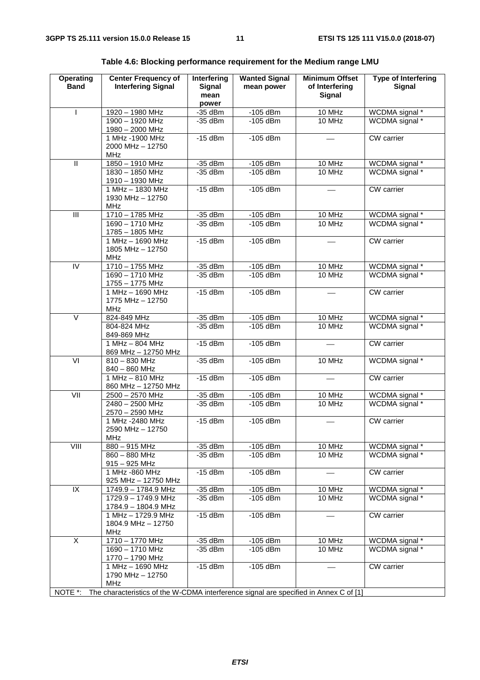| Operating<br><b>Band</b> | <b>Center Frequency of</b><br><b>Interfering Signal</b>                               | Interfering<br><b>Signal</b><br>mean | <b>Wanted Signal</b><br>mean power | <b>Minimum Offset</b><br>of Interfering<br><b>Signal</b> | <b>Type of Interfering</b><br><b>Signal</b> |
|--------------------------|---------------------------------------------------------------------------------------|--------------------------------------|------------------------------------|----------------------------------------------------------|---------------------------------------------|
| $\mathsf{I}$             | 1920 - 1980 MHz                                                                       | power<br>$-35$ dBm                   | $-105$ dBm                         | 10 MHz                                                   | WCDMA signal *                              |
|                          | 1900 - 1920 MHz                                                                       | $-35$ dBm                            | $-105$ dBm                         | 10 MHz                                                   | WCDMA signal *                              |
|                          | 1980 - 2000 MHz                                                                       |                                      |                                    |                                                          |                                             |
|                          | 1 MHz -1900 MHz                                                                       | $-15$ dBm                            | $-105$ dBm                         |                                                          | CW carrier                                  |
|                          | 2000 MHz - 12750                                                                      |                                      |                                    |                                                          |                                             |
|                          | <b>MHz</b>                                                                            |                                      |                                    |                                                          |                                             |
| $\overline{\mathsf{I}}$  | 1850 - 1910 MHz                                                                       | $-35$ dBm                            | $-105$ dBm                         | 10 MHz                                                   | WCDMA signal *                              |
|                          | 1830 - 1850 MHz                                                                       | $-35$ dBm                            | $-105$ dBm                         | 10 MHz                                                   | WCDMA signal *                              |
|                          | 1910 - 1930 MHz<br>1 MHz - 1830 MHz                                                   | $-15$ dBm                            | $-105$ dBm                         |                                                          | CW carrier                                  |
|                          | 1930 MHz - 12750                                                                      |                                      |                                    |                                                          |                                             |
|                          | <b>MHz</b>                                                                            |                                      |                                    |                                                          |                                             |
| $\overline{\mathbb{H}}$  | 1710 - 1785 MHz                                                                       | $-35$ dBm                            | $-105$ dBm                         | 10 MHz                                                   | WCDMA signal *                              |
|                          | $1690 - 1710$ MHz                                                                     | $-35$ dBm                            | $-105$ dBm                         | 10 MHz                                                   | WCDMA signal *                              |
|                          | 1785 - 1805 MHz                                                                       |                                      |                                    |                                                          |                                             |
|                          | 1 MHz - 1690 MHz                                                                      | $-15$ dBm                            | $-105$ dBm                         |                                                          | CW carrier                                  |
|                          | 1805 MHz - 12750                                                                      |                                      |                                    |                                                          |                                             |
|                          | <b>MHz</b>                                                                            |                                      |                                    |                                                          |                                             |
| IV                       | 1710 - 1755 MHz<br>1690 - 1710 MHz                                                    | $-35$ dBm<br>$-35$ dBm               | $-105$ dBm<br>$-105$ dBm           | 10 MHz<br>10 MHz                                         | WCDMA signal *<br>WCDMA signal *            |
|                          | 1755 - 1775 MHz                                                                       |                                      |                                    |                                                          |                                             |
|                          | 1 MHz - 1690 MHz                                                                      | $-15$ dBm                            | $-105$ dBm                         |                                                          | CW carrier                                  |
|                          | 1775 MHz - 12750                                                                      |                                      |                                    |                                                          |                                             |
|                          | <b>MHz</b>                                                                            |                                      |                                    |                                                          |                                             |
| $\vee$                   | 824-849 MHz                                                                           | $-35$ dBm                            | $-105$ dBm                         | 10 MHz                                                   | WCDMA signal *                              |
|                          | 804-824 MHz                                                                           | $-35$ dBm                            | $-105$ dBm                         | 10 MHz                                                   | WCDMA signal *                              |
|                          | 849-869 MHz                                                                           |                                      |                                    |                                                          |                                             |
|                          | $1 MHz - 804 MHz$<br>869 MHz - 12750 MHz                                              | $-15$ dBm                            | $-105$ dBm                         |                                                          | CW carrier                                  |
| VI                       | $810 - 830$ MHz                                                                       | $-35$ dBm                            | $-105$ dBm                         | 10 MHz                                                   | WCDMA signal *                              |
|                          | 840 - 860 MHz                                                                         |                                      |                                    |                                                          |                                             |
|                          | 1 MHz - 810 MHz                                                                       | $-15$ dBm                            | $-105$ dBm                         |                                                          | CW carrier                                  |
|                          | 860 MHz - 12750 MHz                                                                   |                                      |                                    |                                                          |                                             |
|                          | 2500 - 2570 MHz                                                                       | $-35$ dBm                            | $-105$ dBm                         | 10 MHz                                                   | WCDMA signal *                              |
|                          | 2480 - 2500 MHz                                                                       | $-35$ dBm                            | $-105$ dBm                         | 10 MHz                                                   | WCDMA signal *                              |
|                          | 2570 - 2590 MHz                                                                       |                                      |                                    |                                                          |                                             |
|                          | 1 MHz -2480 MHz                                                                       | $-15$ dBm                            | $-105$ dBm                         |                                                          | CW carrier                                  |
|                          | 2590 MHz - 12750<br><b>MHz</b>                                                        |                                      |                                    |                                                          |                                             |
| VIII                     | 880 - 915 MHz                                                                         | $-35$ dBm                            | $-105$ dBm                         | 10 MHz                                                   | WCDMA signal *                              |
|                          | 860 - 880 MHz                                                                         | $-35$ dBm                            | $-105$ dBm                         | 10 MHz                                                   | WCDMA signal *                              |
|                          | $915 - 925$ MHz                                                                       |                                      |                                    |                                                          |                                             |
|                          | 1 MHz -860 MHz                                                                        | $-15$ dBm                            | $-105$ dBm                         |                                                          | <b>CW</b> carrier                           |
|                          | 925 MHz - 12750 MHz                                                                   |                                      |                                    |                                                          |                                             |
| $\overline{X}$           | 1749.9 - 1784.9 MHz                                                                   | -35 dBm                              | $-105$ dBm                         | 10 MHz                                                   | WCDMA signal *                              |
|                          | 1729.9 - 1749.9 MHz                                                                   | $-35$ dBm                            | $-105$ dBm                         | 10 MHz                                                   | WCDMA signal *                              |
|                          | 1784.9 - 1804.9 MHz<br>1 MHz - 1729.9 MHz                                             | $-15$ dBm                            | $-105$ dBm                         |                                                          | <b>CW</b> carrier                           |
|                          | 1804.9 MHz - 12750                                                                    |                                      |                                    |                                                          |                                             |
|                          | MHz                                                                                   |                                      |                                    |                                                          |                                             |
| $\overline{\mathsf{x}}$  | 1710 - 1770 MHz                                                                       | $-35$ dBm                            | $-105$ dBm                         | 10 MHz                                                   | WCDMA signal *                              |
|                          | 1690 - 1710 MHz                                                                       | $-35$ dBm                            | $-105$ dBm                         | 10 MHz                                                   | WCDMA signal *                              |
|                          | 1770 - 1790 MHz                                                                       |                                      |                                    |                                                          |                                             |
|                          | 1 MHz - 1690 MHz                                                                      | $-15$ dBm                            | $-105$ dBm                         |                                                          | CW carrier                                  |
|                          | 1790 MHz - 12750                                                                      |                                      |                                    |                                                          |                                             |
|                          | <b>MHz</b>                                                                            |                                      |                                    |                                                          |                                             |
| NOTE *:                  | The characteristics of the W-CDMA interference signal are specified in Annex C of [1] |                                      |                                    |                                                          |                                             |

**Table 4.6: Blocking performance requirement for the Medium range LMU**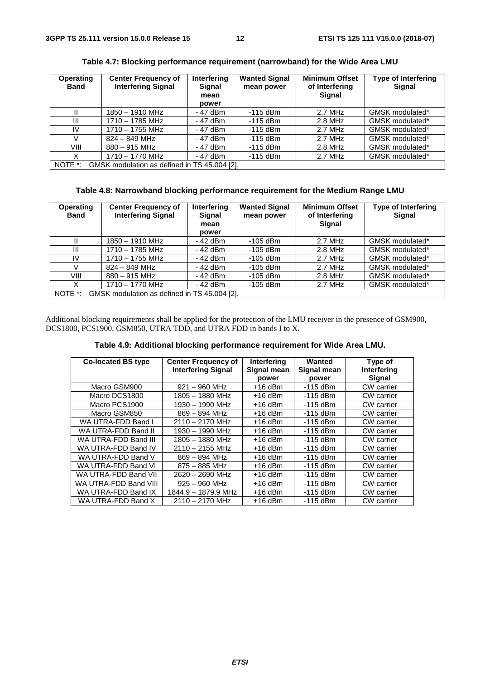| <b>Operating</b><br><b>Band</b> | <b>Center Frequency of</b><br><b>Interfering Signal</b> | Interfering<br>Signal | <b>Wanted Signal</b><br>mean power | <b>Minimum Offset</b><br>of Interfering | <b>Type of Interfering</b><br><b>Signal</b> |
|---------------------------------|---------------------------------------------------------|-----------------------|------------------------------------|-----------------------------------------|---------------------------------------------|
|                                 |                                                         | mean                  |                                    | Signal                                  |                                             |
|                                 |                                                         | power                 |                                    |                                         |                                             |
|                                 | 1850 - 1910 MHz                                         | - 47 dBm              | $-115$ dBm                         | 2.7 MHz                                 | GMSK modulated*                             |
| Ш                               | 1710 - 1785 MHz                                         | - 47 dBm              | -115 dBm                           | $2.8$ MHz                               | GMSK modulated*                             |
| IV                              | 1710 - 1755 MHz                                         | - 47 dBm              | $-115$ dBm                         | $2.7$ MHz                               | GMSK modulated*                             |
|                                 | $824 - 849$ MHz                                         | - 47 dBm              | -115 dBm                           | $2.7$ MHz                               | GMSK modulated*                             |
| VIII                            | $880 - 915$ MHz                                         | - 47 dBm              | $-115$ dBm                         | 2.8 MHz                                 | GMSK modulated*                             |
| X                               | 1710 - 1770 MHz                                         | - 47 dBm              | $-115$ dBm                         | 2.7 MHz                                 | GMSK modulated*                             |
| NOTE *:                         | GMSK modulation as defined in TS 45.004 [2].            |                       |                                    |                                         |                                             |

**Table 4.7: Blocking performance requirement (narrowband) for the Wide Area LMU** 

#### **Table 4.8: Narrowband blocking performance requirement for the Medium Range LMU**

| <b>Operating</b><br><b>Band</b> | <b>Center Frequency of</b><br><b>Interfering Signal</b> | Interfering<br><b>Signal</b><br>mean<br>power | <b>Wanted Signal</b><br>mean power | <b>Minimum Offset</b><br>of Interfering<br><b>Signal</b> | <b>Type of Interfering</b><br><b>Signal</b> |
|---------------------------------|---------------------------------------------------------|-----------------------------------------------|------------------------------------|----------------------------------------------------------|---------------------------------------------|
|                                 | $1850 - 1910$ MHz                                       | - 42 dBm                                      | $-105$ dBm                         | 2.7 MHz                                                  | GMSK modulated*                             |
| Ш                               | $1710 - 1785$ MHz                                       | - 42 dBm                                      | $-105$ dBm                         | 2.8 MHz                                                  | GMSK modulated*                             |
| IV                              | $1710 - 1755$ MHz                                       | - 42 dBm                                      | $-105$ dBm                         | 2.7 MHz                                                  | GMSK modulated*                             |
|                                 | $824 - 849$ MHz                                         | - 42 dBm                                      | $-105$ dBm                         | 2.7 MHz                                                  | GMSK modulated*                             |
| VIII                            | $880 - 915$ MHz                                         | - 42 dBm                                      | $-105$ dBm                         | 2.8 MHz                                                  | GMSK modulated*                             |
| х                               | $1710 - 1770$ MHz                                       | - 42 dBm                                      | $-105$ dBm                         | 2.7 MHz                                                  | GMSK modulated*                             |
| NOTE *:                         | GMSK modulation as defined in TS 45.004 [2].            |                                               |                                    |                                                          |                                             |

Additional blocking requirements shall be applied for the protection of the LMU receiver in the presence of GSM900, DCS1800, PCS1900, GSM850, UTRA TDD, and UTRA FDD in bands I to X.

**Table 4.9: Additional blocking performance requirement for Wide Area LMU.** 

| <b>Co-located BS type</b> | <b>Center Frequency of</b> | Interfering | Wanted      | Type of           |
|---------------------------|----------------------------|-------------|-------------|-------------------|
|                           | <b>Interfering Signal</b>  | Signal mean | Signal mean | Interfering       |
|                           |                            | power       | power       | <b>Signal</b>     |
| Macro GSM900              | $921 - 960$ MHz            | $+16$ dBm   | $-115$ dBm  | <b>CW</b> carrier |
| Macro DCS1800             | $1805 - 1880$ MHz          | $+16$ dBm   | $-115$ dBm  | <b>CW</b> carrier |
| Macro PCS1900             | 1930 - 1990 MHz            | $+16$ dBm   | $-115$ dBm  | <b>CW</b> carrier |
| Macro GSM850              | $869 - 894$ MHz            | $+16$ dBm   | $-115$ dBm  | <b>CW</b> carrier |
| WA UTRA-FDD Band I        | $2110 - 2170$ MHz          | $+16$ dBm   | $-115$ dBm  | <b>CW</b> carrier |
| WA UTRA-FDD Band II       | 1930 - 1990 MHz            | $+16$ dBm   | $-115$ dBm  | <b>CW</b> carrier |
| WA UTRA-FDD Band III      | 1805 - 1880 MHz            | $+16$ dBm   | $-115$ dBm  | CW carrier        |
| WA UTRA-FDD Band IV       | $2110 - 2155$ MHz          | $+16$ dBm   | $-115$ dBm  | <b>CW</b> carrier |
| WA UTRA-FDD Band V        | $869 - 894$ MHz            | $+16$ dBm   | $-115$ dBm  | <b>CW</b> carrier |
| WA UTRA-FDD Band VI       | $875 - 885$ MHz            | $+16$ dBm   | $-115$ dBm  | CW carrier        |
| WA UTRA-FDD Band VII      | $2620 - 2690$ MHz          | $+16$ dBm   | $-115$ dBm  | CW carrier        |
| WA UTRA-FDD Band VIII     | $925 - 960$ MHz            | $+16$ dBm   | $-115$ dBm  | <b>CW</b> carrier |
| WA UTRA-FDD Band IX       | 1844.9 - 1879.9 MHz        | $+16$ dBm   | $-115$ dBm  | CW carrier        |
| WA UTRA-FDD Band X        | $2110 - 2170$ MHz          | $+16$ dBm   | $-115$ dBm  | CW carrier        |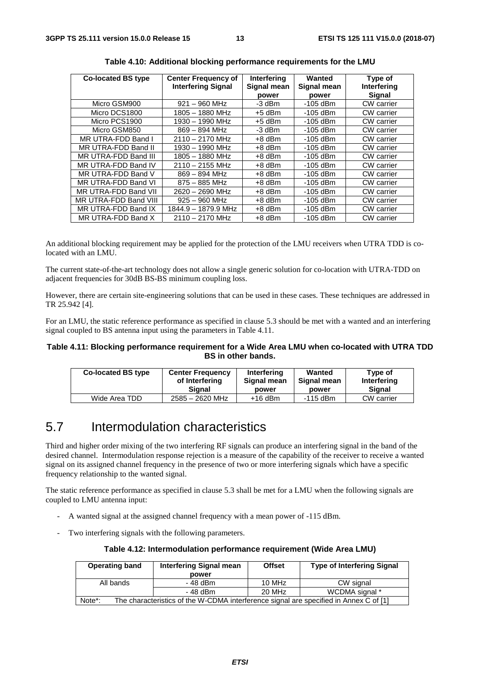| <b>Co-located BS type</b> | <b>Center Frequency of</b><br><b>Interfering Signal</b> | Interfering<br>Signal mean | Wanted<br>Signal mean | Type of<br>Interfering |
|---------------------------|---------------------------------------------------------|----------------------------|-----------------------|------------------------|
|                           |                                                         | power                      | power                 | Signal                 |
| Micro GSM900              | $921 - 960$ MHz                                         | $-3$ dBm                   | $-105$ dBm            | CW carrier             |
| Micro DCS1800             | 1805 - 1880 MHz                                         | $+5$ dBm                   | $-105$ dBm            | CW carrier             |
| Micro PCS1900             | 1930 - 1990 MHz                                         | $+5$ dBm                   | $-105$ dBm            | CW carrier             |
| Micro GSM850              | $869 - 894$ MHz                                         | -3 dBm                     | $-105$ dBm            | <b>CW</b> carrier      |
| MR UTRA-FDD Band I        | $2110 - 2170$ MHz                                       | $+8$ dBm                   | -105 dBm              | CW carrier             |
| MR UTRA-FDD Band II       | 1930 - 1990 MHz                                         | $+8$ dBm                   | -105 dBm              | CW carrier             |
| MR UTRA-FDD Band III      | $1805 - 1880$ MHz                                       | $+8$ dBm                   | $-105$ dBm            | CW carrier             |
| MR UTRA-FDD Band IV       | $2110 - 2155$ MHz                                       | $+8$ dBm                   | $-105$ dBm            | CW carrier             |
| MR UTRA-FDD Band V        | $869 - 894$ MHz                                         | $+8$ dBm                   | $-105$ dBm            | CW carrier             |
| MR UTRA-FDD Band VI       | $875 - 885$ MHz                                         | $+8$ dBm                   | -105 dBm              | <b>CW</b> carrier      |
| MR UTRA-FDD Band VII      | $2620 - 2690$ MHz                                       | $+8$ dBm                   | -105 dBm              | <b>CW</b> carrier      |
| MR UTRA-FDD Band VIII     | $925 - 960$ MHz                                         | $+8$ dBm                   | $-105$ dBm            | <b>CW</b> carrier      |
| MR UTRA-FDD Band IX       | 1844.9 - 1879.9 MHz                                     | $+8$ dBm                   | $-105$ dBm            | CW carrier             |
| MR UTRA-FDD Band X        | $2110 - 2170$ MHz                                       | $+8$ dBm                   | $-105$ dBm            | CW carrier             |

**Table 4.10: Additional blocking performance requirements for the LMU** 

An additional blocking requirement may be applied for the protection of the LMU receivers when UTRA TDD is colocated with an LMU.

The current state-of-the-art technology does not allow a single generic solution for co-location with UTRA-TDD on adjacent frequencies for 30dB BS-BS minimum coupling loss.

However, there are certain site-engineering solutions that can be used in these cases. These techniques are addressed in TR 25.942 [4].

For an LMU, the static reference performance as specified in clause 5.3 should be met with a wanted and an interfering signal coupled to BS antenna input using the parameters in Table 4.11.

#### **Table 4.11: Blocking performance requirement for a Wide Area LMU when co-located with UTRA TDD BS in other bands.**

| Co-located BS type | <b>Center Frequency</b> | Interfering | Wanted      | Type of       |
|--------------------|-------------------------|-------------|-------------|---------------|
|                    | of Interfering          | Signal mean | Signal mean | Interfering   |
|                    | Sianal                  | power       | power       | <b>Signal</b> |
| Wide Area TDD      | 2585 - 2620 MHz         | $+16$ dBm   | -115 dBm    | CW carrier    |

# 5.7 Intermodulation characteristics

Third and higher order mixing of the two interfering RF signals can produce an interfering signal in the band of the desired channel. Intermodulation response rejection is a measure of the capability of the receiver to receive a wanted signal on its assigned channel frequency in the presence of two or more interfering signals which have a specific frequency relationship to the wanted signal.

The static reference performance as specified in clause 5.3 shall be met for a LMU when the following signals are coupled to LMU antenna input:

- A wanted signal at the assigned channel frequency with a mean power of -115 dBm.
- Two interfering signals with the following parameters.

| Table 4.12: Intermodulation performance requirement (Wide Area LMU) |  |  |  |
|---------------------------------------------------------------------|--|--|--|
|---------------------------------------------------------------------|--|--|--|

| <b>Operating band</b>                                                                           | <b>Interfering Signal mean</b><br>power |                | <b>Type of Interfering Signal</b> |  |  |
|-------------------------------------------------------------------------------------------------|-----------------------------------------|----------------|-----------------------------------|--|--|
| All bands                                                                                       | - 48 dBm                                | 10 MHz         | CW signal                         |  |  |
| 20 MHz<br>- 48 dBm                                                                              |                                         | WCDMA signal * |                                   |  |  |
| The characteristics of the W-CDMA interference signal are specified in Annex C of [1]<br>Note*: |                                         |                |                                   |  |  |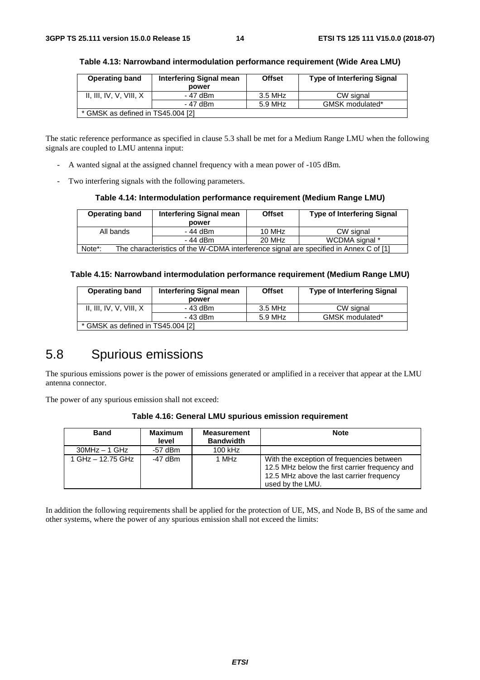| <b>Operating band</b>             | <b>Interfering Signal mean</b> | <b>Offset</b> | <b>Type of Interfering Signal</b> |
|-----------------------------------|--------------------------------|---------------|-----------------------------------|
|                                   | power                          |               |                                   |
| II, III, IV, V, VIII, X           | - 47 dBm                       | 3.5 MHz       | CW signal                         |
|                                   | - 47 dBm                       | 5.9 MHz       | GMSK modulated*                   |
| * GMSK as defined in TS45.004 [2] |                                |               |                                   |

**Table 4.13: Narrowband intermodulation performance requirement (Wide Area LMU)** 

The static reference performance as specified in clause 5.3 shall be met for a Medium Range LMU when the following signals are coupled to LMU antenna input:

- A wanted signal at the assigned channel frequency with a mean power of -105 dBm.
- Two interfering signals with the following parameters.

#### **Table 4.14: Intermodulation performance requirement (Medium Range LMU)**

| <b>Operating band</b>                                                                                        | <b>Interfering Signal mean</b><br>power | <b>Offset</b> | <b>Type of Interfering Signal</b> |  |  |
|--------------------------------------------------------------------------------------------------------------|-----------------------------------------|---------------|-----------------------------------|--|--|
| All bands                                                                                                    | - 44 dBm                                | 10 MHz        | CW signal                         |  |  |
|                                                                                                              | - 44 dBm                                | 20 MHz        | WCDMA signal *                    |  |  |
| The characteristics of the W-CDMA interference signal are specified in Annex C of [1]<br>Note <sup>*</sup> : |                                         |               |                                   |  |  |

#### **Table 4.15: Narrowband intermodulation performance requirement (Medium Range LMU)**

| <b>Operating band</b>             | <b>Interfering Signal mean</b> | <b>Offset</b> | <b>Type of Interfering Signal</b> |
|-----------------------------------|--------------------------------|---------------|-----------------------------------|
|                                   | power                          |               |                                   |
| II, III, IV, V, VIII, X           | - 43 dBm                       | 3.5 MHz       | CW signal                         |
|                                   | - 43 dBm                       | 5.9 MHz       | GMSK modulated*                   |
| * GMSK as defined in TS45.004 [2] |                                |               |                                   |

# 5.8 Spurious emissions

The spurious emissions power is the power of emissions generated or amplified in a receiver that appear at the LMU antenna connector.

The power of any spurious emission shall not exceed:

|  |  | Table 4.16: General LMU spurious emission requirement |
|--|--|-------------------------------------------------------|
|  |  |                                                       |

| <b>Band</b>       | <b>Maximum</b><br>level | <b>Measurement</b><br><b>Bandwidth</b> | <b>Note</b>                                                                                                                                                  |
|-------------------|-------------------------|----------------------------------------|--------------------------------------------------------------------------------------------------------------------------------------------------------------|
| $30MHz - 1 GHz$   | $-57$ dBm               | $100$ kHz                              |                                                                                                                                                              |
| 1 GHz - 12.75 GHz | $-47$ dBm               | 1 MHz                                  | With the exception of frequencies between<br>12.5 MHz below the first carrier frequency and<br>12.5 MHz above the last carrier frequency<br>used by the LMU. |

In addition the following requirements shall be applied for the protection of UE, MS, and Node B, BS of the same and other systems, where the power of any spurious emission shall not exceed the limits: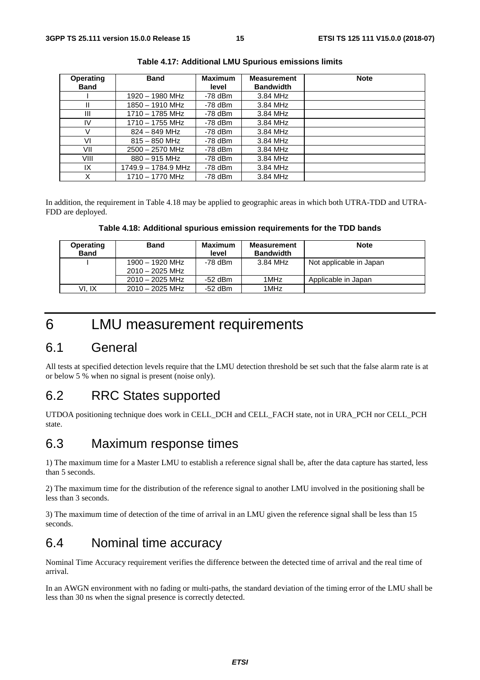| <b>Operating</b> | <b>Band</b>         | <b>Maximum</b> | <b>Measurement</b> | <b>Note</b> |
|------------------|---------------------|----------------|--------------------|-------------|
| <b>Band</b>      |                     | level          | <b>Bandwidth</b>   |             |
|                  | 1920 - 1980 MHz     | -78 dBm        | 3.84 MHz           |             |
| Ш                | 1850 - 1910 MHz     | $-78$ dBm      | 3.84 MHz           |             |
| Ш                | $1710 - 1785$ MHz   | $-78$ dBm      | 3.84 MHz           |             |
| IV               | $1710 - 1755$ MHz   | $-78$ dBm      | 3.84 MHz           |             |
|                  | $824 - 849$ MHz     | $-78$ dBm      | 3.84 MHz           |             |
| V١               | $815 - 850$ MHz     | -78 dBm        | 3.84 MHz           |             |
| VII              | $2500 - 2570$ MHz   | -78 dBm        | 3.84 MHz           |             |
| VIII             | $880 - 915$ MHz     | -78 dBm        | 3.84 MHz           |             |
| IX               | 1749.9 - 1784.9 MHz | -78 dBm        | 3.84 MHz           |             |
| Χ                | 1710 - 1770 MHz     | $-78$ dBm      | 3.84 MHz           |             |

**Table 4.17: Additional LMU Spurious emissions limits** 

In addition, the requirement in Table 4.18 may be applied to geographic areas in which both UTRA-TDD and UTRA-FDD are deployed.

**Table 4.18: Additional spurious emission requirements for the TDD bands** 

| <b>Operating</b><br><b>Band</b> | <b>Band</b>       | Maximum<br>level | <b>Measurement</b><br><b>Bandwidth</b> | <b>Note</b>             |
|---------------------------------|-------------------|------------------|----------------------------------------|-------------------------|
|                                 | $1900 - 1920$ MHz | -78 dBm          | 3.84 MHz                               | Not applicable in Japan |
|                                 | $2010 - 2025$ MHz |                  |                                        |                         |
|                                 | $2010 - 2025$ MHz | -52 dBm          | 1MHz                                   | Applicable in Japan     |
| VI. IX                          | $2010 - 2025$ MHz | -52 dBm          | 1MHz                                   |                         |

# 6 LMU measurement requirements

#### 6.1 General

All tests at specified detection levels require that the LMU detection threshold be set such that the false alarm rate is at or below 5 % when no signal is present (noise only).

### 6.2 RRC States supported

UTDOA positioning technique does work in CELL\_DCH and CELL\_FACH state, not in URA\_PCH nor CELL\_PCH state.

### 6.3 Maximum response times

1) The maximum time for a Master LMU to establish a reference signal shall be, after the data capture has started, less than 5 seconds.

2) The maximum time for the distribution of the reference signal to another LMU involved in the positioning shall be less than 3 seconds.

3) The maximum time of detection of the time of arrival in an LMU given the reference signal shall be less than 15 seconds.

#### 6.4 Nominal time accuracy

Nominal Time Accuracy requirement verifies the difference between the detected time of arrival and the real time of arrival.

In an AWGN environment with no fading or multi-paths, the standard deviation of the timing error of the LMU shall be less than 30 ns when the signal presence is correctly detected.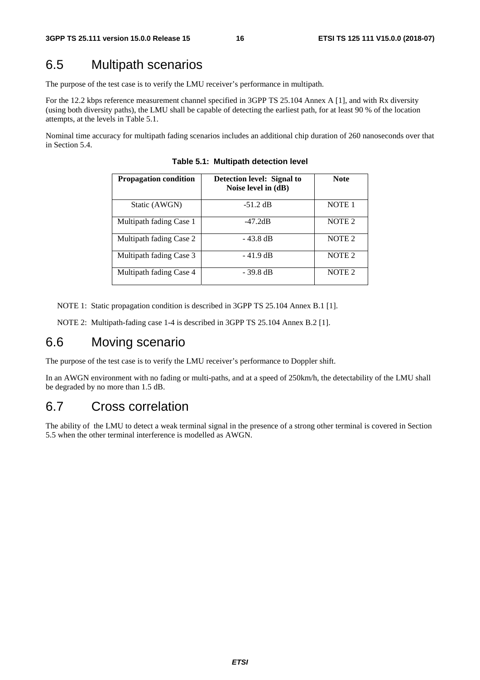# 6.5 Multipath scenarios

The purpose of the test case is to verify the LMU receiver's performance in multipath.

For the 12.2 kbps reference measurement channel specified in 3GPP TS 25.104 Annex A [1], and with Rx diversity (using both diversity paths), the LMU shall be capable of detecting the earliest path, for at least 90 % of the location attempts, at the levels in Table 5.1.

Nominal time accuracy for multipath fading scenarios includes an additional chip duration of 260 nanoseconds over that in Section 5.4.

| <b>Propagation condition</b> | Detection level: Signal to<br>Noise level in (dB) | <b>Note</b>       |
|------------------------------|---------------------------------------------------|-------------------|
| Static (AWGN)                | $-51.2$ dB                                        | NOTE <sub>1</sub> |
| Multipath fading Case 1      | $-47.2dB$                                         | NOTE <sub>2</sub> |
| Multipath fading Case 2      | - 43.8 dB                                         | NOTE <sub>2</sub> |
| Multipath fading Case 3      | $-41.9$ dB                                        | NOTE <sub>2</sub> |
| Multipath fading Case 4      | - 39.8 dB                                         | NOTE <sub>2</sub> |

**Table 5.1: Multipath detection level** 

NOTE 1: Static propagation condition is described in 3GPP TS 25.104 Annex B.1 [1].

NOTE 2: Multipath-fading case 1-4 is described in 3GPP TS 25.104 Annex B.2 [1].

# 6.6 Moving scenario

The purpose of the test case is to verify the LMU receiver's performance to Doppler shift.

In an AWGN environment with no fading or multi-paths, and at a speed of 250km/h, the detectability of the LMU shall be degraded by no more than 1.5 dB.

#### 6.7 Cross correlation

The ability of the LMU to detect a weak terminal signal in the presence of a strong other terminal is covered in Section 5.5 when the other terminal interference is modelled as AWGN.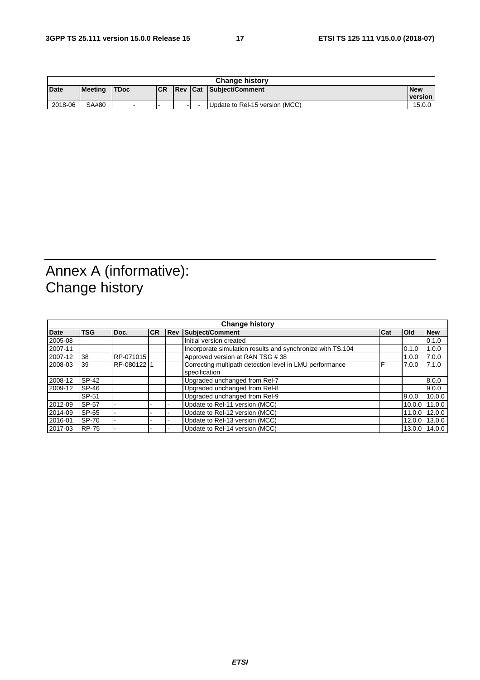|         | <b>Change history</b> |       |           |                |  |                                |                              |
|---------|-----------------------|-------|-----------|----------------|--|--------------------------------|------------------------------|
| Date    | Meetina               | 'TDoc | <b>CR</b> | <b>Rev Cat</b> |  | <b>: Subiect/Comment</b>       | <b>New</b><br><b>version</b> |
| 2018-06 | SA#80                 | -     | -         |                |  | Update to Rel-15 version (MCC) | 15.0.0                       |

# Annex A (informative): Change history

| <b>Change history</b> |              |             |            |     |                                                                          |            |        |               |  |
|-----------------------|--------------|-------------|------------|-----|--------------------------------------------------------------------------|------------|--------|---------------|--|
| <b>Date</b>           | <b>TSG</b>   | Doc.        | <b>ICR</b> | Rev | Subject/Comment                                                          | <b>Cat</b> | Old    | <b>New</b>    |  |
| 2005-08               |              |             |            |     | Initial version created                                                  |            |        | 0.1.0         |  |
| 2007-11               |              |             |            |     | Incorporate simulation results and synchronize with TS.104               |            | 0.1.0  | 1.0.0         |  |
| 2007-12               | 38           | RP-071015   |            |     | Approved version at RAN TSG #38                                          |            | 1.0.0  | 7.0.0         |  |
| 2008-03               | 39           | RP-080122 1 |            |     | Correcting multipath detection level in LMU performance<br>specification | F          | 7.0.0  | 7.1.0         |  |
| 2008-12               | SP-42        |             |            |     | Upgraded unchanged from Rel-7                                            |            |        | 8.0.0         |  |
| 2009-12               | SP-46        |             |            |     | Upgraded unchanged from Rel-8                                            |            |        | 9.0.0         |  |
|                       | SP-51        |             |            |     | Upgraded unchanged from Rel-9                                            |            | 9.0.0  | 10.0.0        |  |
| 2012-09               | SP-57        |             |            |     | Update to Rel-11 version (MCC)                                           |            | 10.0.0 | 11.0.0        |  |
| 2014-09               | SP-65        |             |            |     | Update to Rel-12 version (MCC)                                           |            | 11.0.0 | 12.0.0        |  |
| 2016-01               | SP-70        |             |            |     | Update to Rel-13 version (MCC)                                           |            | 12.0.0 | 13.0.0        |  |
| 2017-03               | <b>RP-75</b> |             |            |     | Update to Rel-14 version (MCC)                                           |            |        | 13.0.0 14.0.0 |  |